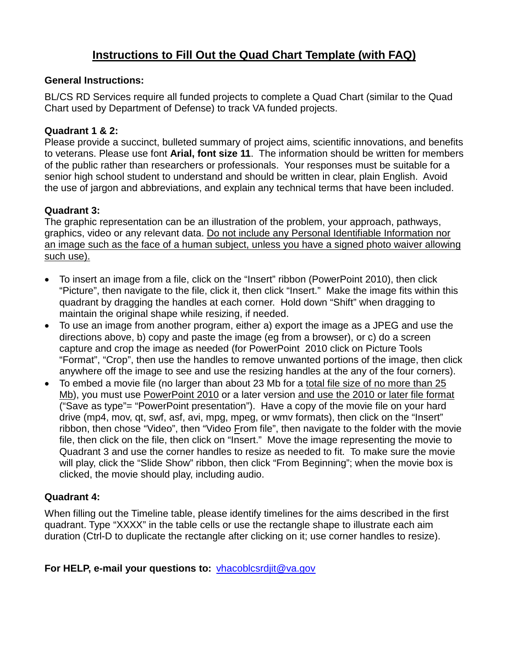# **Instructions to Fill Out the Quad Chart Template (with FAQ)**

#### **General Instructions:**

BL/CS RD Services require all funded projects to complete a Quad Chart (similar to the Quad Chart used by Department of Defense) to track VA funded projects.

#### **Quadrant 1 & 2:**

Please provide a succinct, bulleted summary of project aims, scientific innovations, and benefits to veterans. Please use font **Arial, font size 11**. The information should be written for members of the public rather than researchers or professionals. Your responses must be suitable for a senior high school student to understand and should be written in clear, plain English. Avoid the use of jargon and abbreviations, and explain any technical terms that have been included.

#### **Quadrant 3:**

The graphic representation can be an illustration of the problem, your approach, pathways, graphics, video or any relevant data. Do not include any Personal Identifiable Information nor an image such as the face of a human subject, unless you have a signed photo waiver allowing such use).

- To insert an image from a file, click on the "Insert" ribbon (PowerPoint 2010), then click "Picture", then navigate to the file, click it, then click "Insert." Make the image fits within this quadrant by dragging the handles at each corner. Hold down "Shift" when dragging to maintain the original shape while resizing, if needed.
- To use an image from another program, either a) export the image as a JPEG and use the directions above, b) copy and paste the image (eg from a browser), or c) do a screen capture and crop the image as needed (for PowerPoint 2010 click on Picture Tools "Format", "Crop", then use the handles to remove unwanted portions of the image, then click anywhere off the image to see and use the resizing handles at the any of the four corners).
- To embed a movie file (no larger than about 23 Mb for a total file size of no more than 25 Mb), you must use PowerPoint 2010 or a later version and use the 2010 or later file format ("Save as type"= "PowerPoint presentation"). Have a copy of the movie file on your hard drive (mp4, mov, qt, swf, asf, avi, mpg, mpeg, or wmv formats), then click on the "Insert" ribbon, then chose "Video", then "Video From file", then navigate to the folder with the movie file, then click on the file, then click on "Insert." Move the image representing the movie to Quadrant 3 and use the corner handles to resize as needed to fit. To make sure the movie will play, click the "Slide Show" ribbon, then click "From Beginning"; when the movie box is clicked, the movie should play, including audio.

### **Quadrant 4:**

When filling out the Timeline table, please identify timelines for the aims described in the first quadrant. Type "XXXX" in the table cells or use the rectangle shape to illustrate each aim duration (Ctrl-D to duplicate the rectangle after clicking on it; use corner handles to resize).

#### **For HELP, e-mail your questions to:** [vhacoblcsrdjit@va.gov](mailto:vhacoblcsrdjit@va.gov)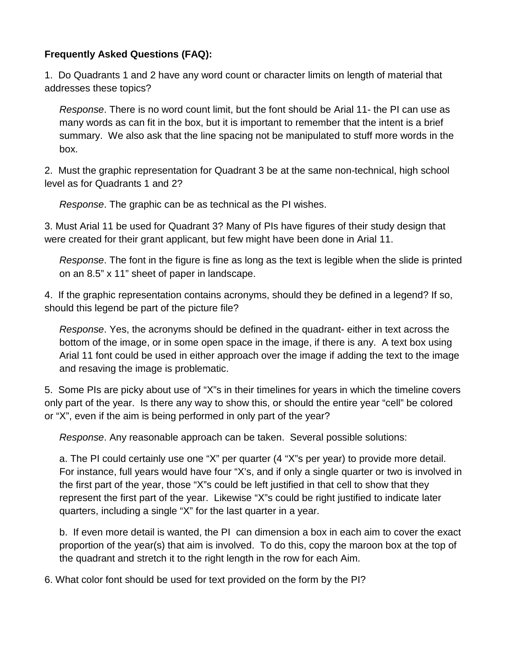## **Frequently Asked Questions (FAQ):**

1. Do Quadrants 1 and 2 have any word count or character limits on length of material that addresses these topics?

*Response*. There is no word count limit, but the font should be Arial 11- the PI can use as many words as can fit in the box, but it is important to remember that the intent is a brief summary. We also ask that the line spacing not be manipulated to stuff more words in the box.

2. Must the graphic representation for Quadrant 3 be at the same non-technical, high school level as for Quadrants 1 and 2?

*Response*. The graphic can be as technical as the PI wishes.

3. Must Arial 11 be used for Quadrant 3? Many of PIs have figures of their study design that were created for their grant applicant, but few might have been done in Arial 11.

*Response*. The font in the figure is fine as long as the text is legible when the slide is printed on an 8.5" x 11" sheet of paper in landscape.

4. If the graphic representation contains acronyms, should they be defined in a legend? If so, should this legend be part of the picture file?

*Response*. Yes, the acronyms should be defined in the quadrant- either in text across the bottom of the image, or in some open space in the image, if there is any. A text box using Arial 11 font could be used in either approach over the image if adding the text to the image and resaving the image is problematic.

5. Some PIs are picky about use of "X"s in their timelines for years in which the timeline covers only part of the year. Is there any way to show this, or should the entire year "cell" be colored or "X", even if the aim is being performed in only part of the year?

*Response*. Any reasonable approach can be taken. Several possible solutions:

a. The PI could certainly use one "X" per quarter (4 "X"s per year) to provide more detail. For instance, full years would have four "X's, and if only a single quarter or two is involved in the first part of the year, those "X"s could be left justified in that cell to show that they represent the first part of the year. Likewise "X"s could be right justified to indicate later quarters, including a single "X" for the last quarter in a year.

b. If even more detail is wanted, the PI can dimension a box in each aim to cover the exact proportion of the year(s) that aim is involved. To do this, copy the maroon box at the top of the quadrant and stretch it to the right length in the row for each Aim.

6. What color font should be used for text provided on the form by the PI?